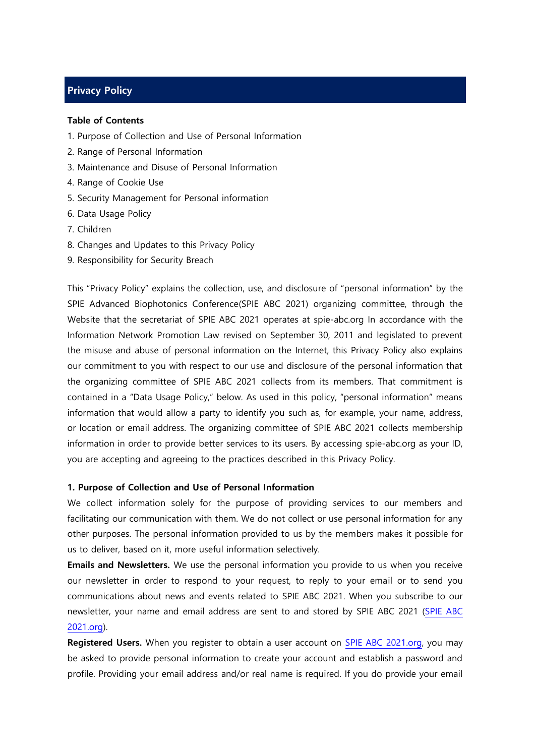# **Privacy Policy**

#### **Table of Contents**

- 1. Purpose of Collection and Use of Personal Information
- 2. Range of Personal Information
- 3. Maintenance and Disuse of Personal Information
- 4. Range of Cookie Use
- 5. Security Management for Personal information
- 6. Data Usage Policy
- 7. Children
- 8. Changes and Updates to this Privacy Policy
- 9. Responsibility for Security Breach

This "Privacy Policy" explains the collection, use, and disclosure of "personal information" by the SPIE Advanced Biophotonics Conference(SPIE ABC 2021) organizing committee, through the Website that the secretariat of SPIE ABC 2021 operates at spie-abc.org In accordance with the Information Network Promotion Law revised on September 30, 2011 and legislated to prevent the misuse and abuse of personal information on the Internet, this Privacy Policy also explains our commitment to you with respect to our use and disclosure of the personal information that the organizing committee of SPIE ABC 2021 collects from its members. That commitment is contained in a "Data Usage Policy," below. As used in this policy, "personal information" means information that would allow a party to identify you such as, for example, your name, address, or location or email address. The organizing committee of SPIE ABC 2021 collects membership information in order to provide better services to its users. By accessing spie-abc.org as your ID, you are accepting and agreeing to the practices described in this Privacy Policy.

## **1. Purpose of Collection and Use of Personal Information**

We collect information solely for the purpose of providing services to our members and facilitating our communication with them. We do not collect or use personal information for any other purposes. The personal information provided to us by the members makes it possible for us to deliver, based on it, more useful information selectively.

**Emails and Newsletters.** We use the personal information you provide to us when you receive our newsletter in order to respond to your request, to reply to your email or to send you communications about news and events related to SPIE ABC 2021. When you subscribe to our newsletter, your name and email address are sent to and stored by SPIE ABC 2021 [\(SPIE ABC](http://www.icpmg2022.org/)  [2021.org\)](http://www.icpmg2022.org/).

**Registered Users.** When you register to obtain a user account on [SPIE ABC 2021.org,](http://www.icpmg2022.org/) you may be asked to provide personal information to create your account and establish a password and profile. Providing your email address and/or real name is required. If you do provide your email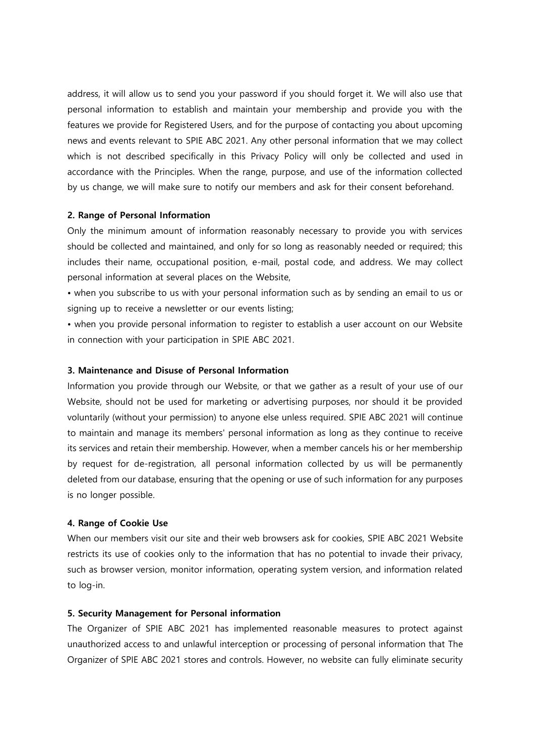address, it will allow us to send you your password if you should forget it. We will also use that personal information to establish and maintain your membership and provide you with the features we provide for Registered Users, and for the purpose of contacting you about upcoming news and events relevant to SPIE ABC 2021. Any other personal information that we may collect which is not described specifically in this Privacy Policy will only be collected and used in accordance with the Principles. When the range, purpose, and use of the information collected by us change, we will make sure to notify our members and ask for their consent beforehand.

### **2. Range of Personal Information**

Only the minimum amount of information reasonably necessary to provide you with services should be collected and maintained, and only for so long as reasonably needed or required; this includes their name, occupational position, e-mail, postal code, and address. We may collect personal information at several places on the Website,

• when you subscribe to us with your personal information such as by sending an email to us or signing up to receive a newsletter or our events listing;

• when you provide personal information to register to establish a user account on our Website in connection with your participation in SPIE ABC 2021.

# **3. Maintenance and Disuse of Personal Information**

Information you provide through our Website, or that we gather as a result of your use of our Website, should not be used for marketing or advertising purposes, nor should it be provided voluntarily (without your permission) to anyone else unless required. SPIE ABC 2021 will continue to maintain and manage its members' personal information as long as they continue to receive its services and retain their membership. However, when a member cancels his or her membership by request for de-registration, all personal information collected by us will be permanently deleted from our database, ensuring that the opening or use of such information for any purposes is no longer possible.

#### **4. Range of Cookie Use**

When our members visit our site and their web browsers ask for cookies, SPIE ABC 2021 Website restricts its use of cookies only to the information that has no potential to invade their privacy, such as browser version, monitor information, operating system version, and information related to log-in.

# **5. Security Management for Personal information**

The Organizer of SPIE ABC 2021 has implemented reasonable measures to protect against unauthorized access to and unlawful interception or processing of personal information that The Organizer of SPIE ABC 2021 stores and controls. However, no website can fully eliminate security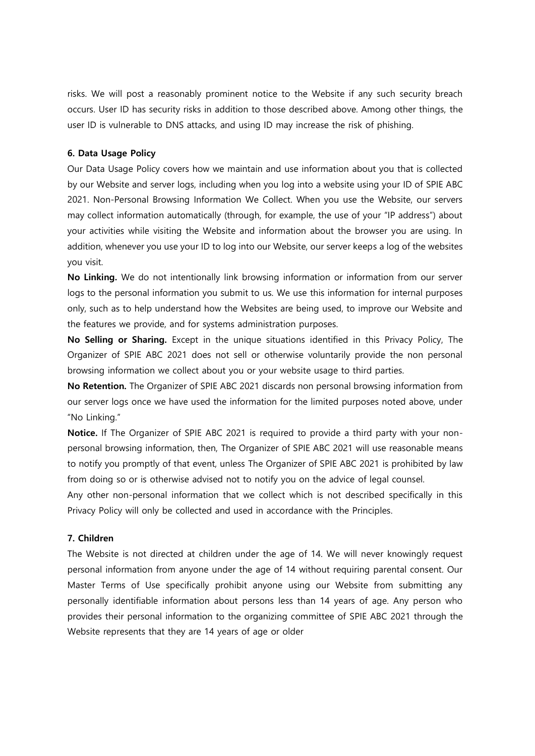risks. We will post a reasonably prominent notice to the Website if any such security breach occurs. User ID has security risks in addition to those described above. Among other things, the user ID is vulnerable to DNS attacks, and using ID may increase the risk of phishing.

# **6. Data Usage Policy**

Our Data Usage Policy covers how we maintain and use information about you that is collected by our Website and server logs, including when you log into a website using your ID of SPIE ABC 2021. Non-Personal Browsing Information We Collect. When you use the Website, our servers may collect information automatically (through, for example, the use of your "IP address") about your activities while visiting the Website and information about the browser you are using. In addition, whenever you use your ID to log into our Website, our server keeps a log of the websites you visit.

**No Linking.** We do not intentionally link browsing information or information from our server logs to the personal information you submit to us. We use this information for internal purposes only, such as to help understand how the Websites are being used, to improve our Website and the features we provide, and for systems administration purposes.

**No Selling or Sharing.** Except in the unique situations identified in this Privacy Policy, The Organizer of SPIE ABC 2021 does not sell or otherwise voluntarily provide the non personal browsing information we collect about you or your website usage to third parties.

**No Retention.** The Organizer of SPIE ABC 2021 discards non personal browsing information from our server logs once we have used the information for the limited purposes noted above, under "No Linking."

**Notice.** If The Organizer of SPIE ABC 2021 is required to provide a third party with your nonpersonal browsing information, then, The Organizer of SPIE ABC 2021 will use reasonable means to notify you promptly of that event, unless The Organizer of SPIE ABC 2021 is prohibited by law from doing so or is otherwise advised not to notify you on the advice of legal counsel.

Any other non-personal information that we collect which is not described specifically in this Privacy Policy will only be collected and used in accordance with the Principles.

# **7. Children**

The Website is not directed at children under the age of 14. We will never knowingly request personal information from anyone under the age of 14 without requiring parental consent. Our Master Terms of Use specifically prohibit anyone using our Website from submitting any personally identifiable information about persons less than 14 years of age. Any person who provides their personal information to the organizing committee of SPIE ABC 2021 through the Website represents that they are 14 years of age or older